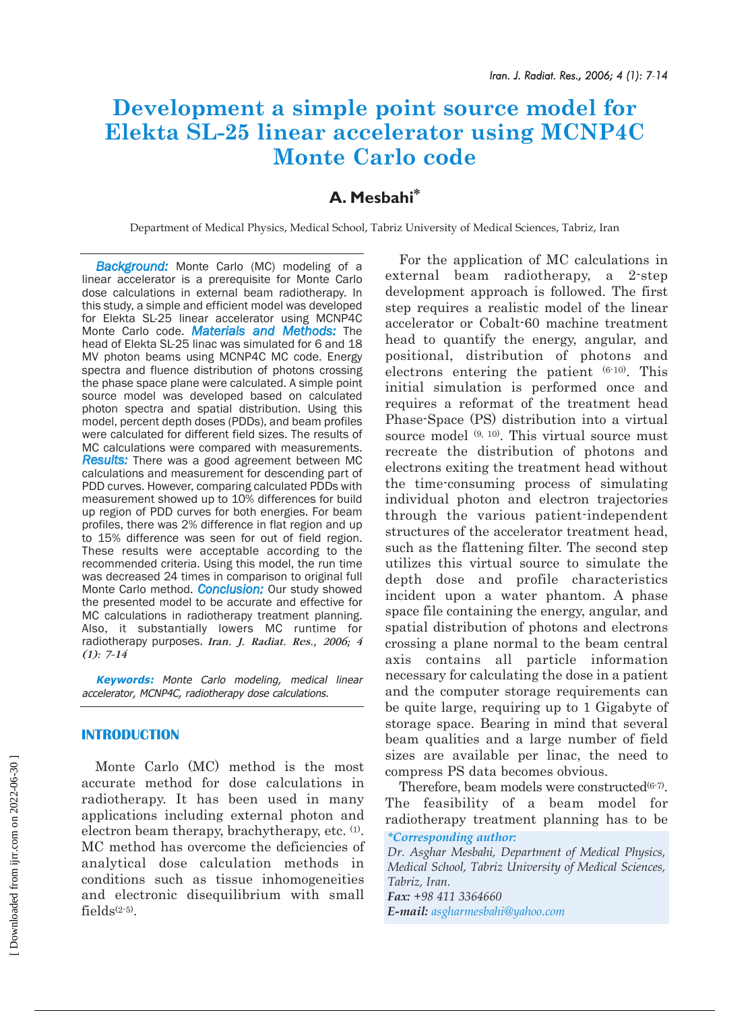# **Development a simple point source model for Elekta SL-25 linear accelerator using MCNP4C Monte Carlo code**

# **A. Mesbahi\***

Department of Medical Physics, Medical School, Tabriz University of Medical Sciences, Tabriz, Iran

*Background:* Monte Carlo (MC) modeling of a linear accelerator is a prerequisite for Monte Carlo dose calculations in external beam radiotherapy. In this study, a simple and efficient model was developed for Elekta SL-25 linear accelerator using MCNP4C Monte Carlo code. *Materials and Methods:* The head of Elekta SL-25 linac was simulated for 6 and 18 MV photon beams using MCNP4C MC code. Energy spectra and fluence distribution of photons crossing the phase space plane were calculated. A simple point source model was developed based on calculated photon spectra and spatial distribution. Using this model, percent depth doses (PDDs), and beam profiles were calculated for different field sizes. The results of MC calculations were compared with measurements. *Results:* There was a good agreement between MC calculations and measurement for descending part of PDD curves. However, comparing calculated PDDs with measurement showed up to 10% differences for build up region of PDD curves for both energies. For beam profiles, there was 2% difference in flat region and up to 15% difference was seen for out of field region. These results were acceptable according to the recommended criteria. Using this model, the run time was decreased 24 times in comparison to original full Monte Carlo method. *Conclusion:* Our study showed the presented model to be accurate and effective for MC calculations in radiotherapy treatment planning. Also, it substantially lowers MC runtime for radiotherapy purposes. *Iran. J. Radiat. Res., 2006; 4 (1): 7-14*

**Keywords:** Monte Carlo modeling, medical linear accelerator, MCNP4C, radiotherapy dose calculations.

# **INTRODUCTION**

Monte Carlo (MC) method is the most accurate method for dose calculations in radiotherapy. It has been used in many applications including external photon and electron beam therapy, brachytherapy, etc. (1). MC method has overcome the deficiencies of analytical dose calculation methods in conditions such as tissue inhomogeneities and electronic disequilibrium with small fields(2-5).

For the application of MC calculations in external beam radiotherapy, a 2-step development approach is followed. The first step requires a realistic model of the linear accelerator or Cobalt-60 machine treatment head to quantify the energy, angular, and positional, distribution of photons and electrons entering the patient (6-10). This initial simulation is performed once and requires a reformat of the treatment head Phase-Space (PS) distribution into a virtual source model (9, 10). This virtual source must recreate the distribution of photons and electrons exiting the treatment head without the time-consuming process of simulating individual photon and electron trajectories through the various patient-independent structures of the accelerator treatment head, such as the flattening filter. The second step utilizes this virtual source to simulate the depth dose and profile characteristics incident upon a water phantom. A phase space file containing the energy, angular, and spatial distribution of photons and electrons crossing a plane normal to the beam central axis contains all particle information necessary for calculating the dose in a patient and the computer storage requirements can be quite large, requiring up to 1 Gigabyte of storage space. Bearing in mind that several beam qualities and a large number of field sizes are available per linac, the need to compress PS data becomes obvious.

Therefore, beam models were constructed $(6-7)$ . The feasibility of a beam model for radiotherapy treatment planning has to be *\*Corresponding author:*

*Dr. Asghar Mesbahi, Department of Medical Physics, Medical School, Tabriz University of Medical Sciences, Tabriz, Iran.*

*Fax: +98 411 3364660 E-mail: asgharmesbahi@yahoo.com*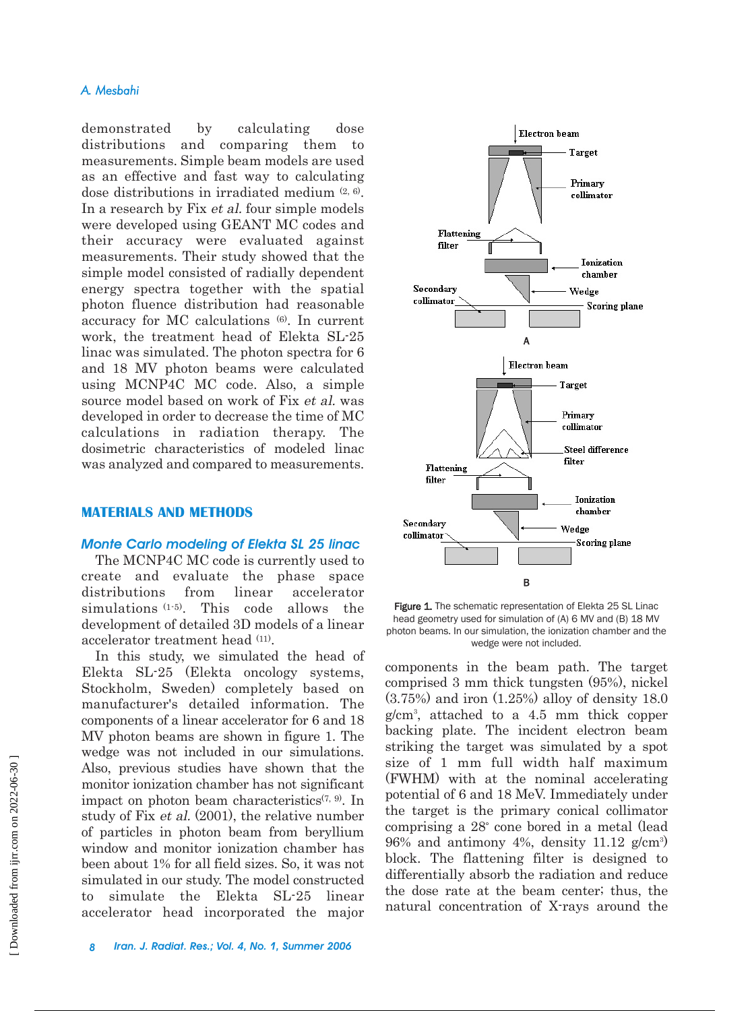# *A. Mesbahi*

demonstrated by calculating dose distributions and comparing them to measurements. Simple beam models are used as an effective and fast way to calculating dose distributions in irradiated medium (2, 6). In a research by Fix et al. four simple models were developed using GEANT MC codes and their accuracy were evaluated against measurements. Their study showed that the simple model consisted of radially dependent energy spectra together with the spatial photon fluence distribution had reasonable accuracy for MC calculations (6). In current work, the treatment head of Elekta SL-25 linac was simulated. The photon spectra for 6 and 18 MV photon beams were calculated using MCNP4C MC code. Also, a simple source model based on work of Fix et al. was developed in order to decrease the time of MC calculations in radiation therapy. The dosimetric characteristics of modeled linac was analyzed and compared to measurements.

## **MATERIALS AND METHODS**

#### *Monte Carlo modeling of Elekta SL 25 linac*

The MCNP4C MC code is currently used to create and evaluate the phase space distributions from linear accelerator simulations  $(1-5)$ . This code allows the development of detailed 3D models of a linear accelerator treatment head (11).

In this study, we simulated the head of Elekta SL-25 (Elekta oncology systems, Stockholm, Sweden) completely based on manufacturer's detailed information. The components of a linear accelerator for 6 and 18 MV photon beams are shown in figure 1. The wedge was not included in our simulations. Also, previous studies have shown that the monitor ionization chamber has not significant impact on photon beam characteristics<sup> $(7, 9)$ </sup>. In study of Fix et al. (2001), the relative number of particles in photon beam from beryllium window and monitor ionization chamber has been about 1% for all field sizes. So, it was not simulated in our study. The model constructed to simulate the Elekta SL-25 linear accelerator head incorporated the major



Figure 1. The schematic representation of Elekta 25 SL Linac head geometry used for simulation of (A) 6 MV and (B) 18 MV photon beams. In our simulation, the ionization chamber and the wedge were not included.

components in the beam path. The target comprised 3 mm thick tungsten (95%), nickel (3.75%) and iron (1.25%) alloy of density 18.0 g/cm3 , attached to a 4.5 mm thick copper backing plate. The incident electron beam striking the target was simulated by a spot size of 1 mm full width half maximum (FWHM) with at the nominal accelerating potential of 6 and 18 MeV. Immediately under the target is the primary conical collimator comprising a 28° cone bored in a metal (lead  $96\%$  and antimony 4%, density 11.12 g/cm<sup>3</sup>) block. The flattening filter is designed to differentially absorb the radiation and reduce the dose rate at the beam center; thus, the natural concentration of X-rays around the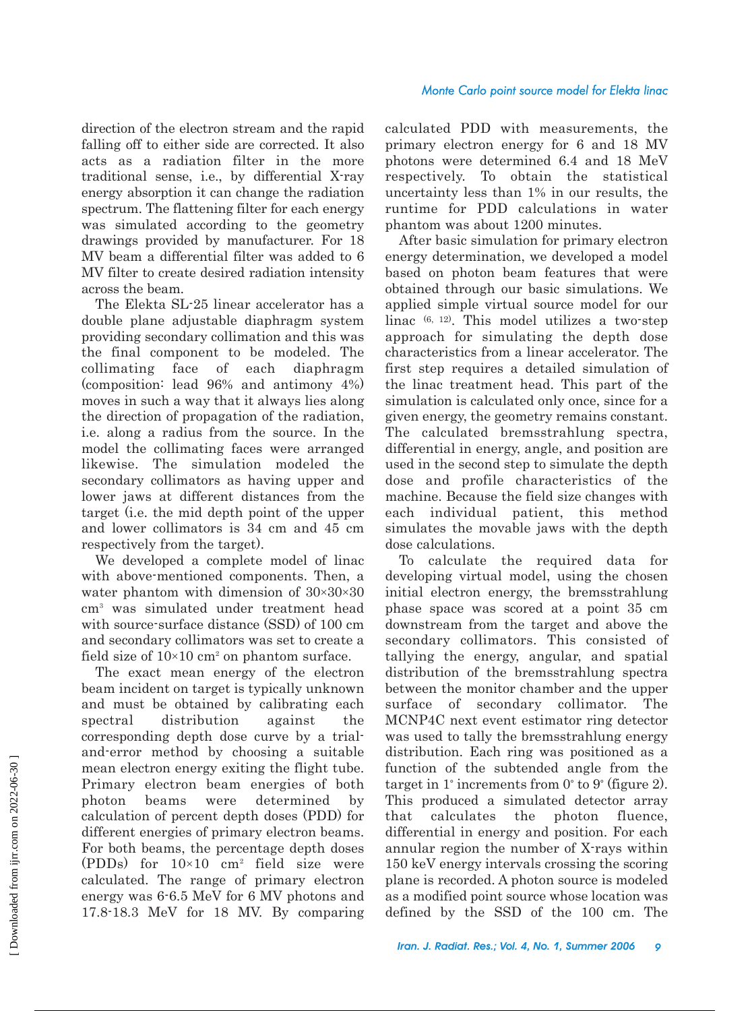direction of the electron stream and the rapid falling off to either side are corrected. It also acts as a radiation filter in the more traditional sense, i.e., by differential X-ray energy absorption it can change the radiation spectrum. The flattening filter for each energy was simulated according to the geometry drawings provided by manufacturer. For 18 MV beam a differential filter was added to 6 MV filter to create desired radiation intensity across the beam.

The Elekta SL-25 linear accelerator has a double plane adjustable diaphragm system providing secondary collimation and this was the final component to be modeled. The collimating face of each diaphragm (composition: lead 96% and antimony 4%) moves in such a way that it always lies along the direction of propagation of the radiation, i.e. along a radius from the source. In the model the collimating faces were arranged likewise. The simulation modeled the secondary collimators as having upper and lower jaws at different distances from the target (i.e. the mid depth point of the upper and lower collimators is 34 cm and 45 cm respectively from the target).

We developed a complete model of linac with above-mentioned components. Then, a water phantom with dimension of  $30\times30\times30$ cm3 was simulated under treatment head with source-surface distance (SSD) of 100 cm and secondary collimators was set to create a field size of  $10\times10$  cm<sup>2</sup> on phantom surface.

The exact mean energy of the electron beam incident on target is typically unknown and must be obtained by calibrating each spectral distribution against the corresponding depth dose curve by a trialand-error method by choosing a suitable mean electron energy exiting the flight tube. Primary electron beam energies of both photon beams were determined by calculation of percent depth doses (PDD) for different energies of primary electron beams. For both beams, the percentage depth doses (PDDs) for  $10\times10$  cm<sup>2</sup> field size were calculated. The range of primary electron energy was 6-6.5 MeV for 6 MV photons and 17.8-18.3 MeV for 18 MV. By comparing

calculated PDD with measurements, the primary electron energy for 6 and 18 MV photons were determined 6.4 and 18 MeV respectively. To obtain the statistical uncertainty less than 1% in our results, the runtime for PDD calculations in water phantom was about 1200 minutes.

After basic simulation for primary electron energy determination, we developed a model based on photon beam features that were obtained through our basic simulations. We applied simple virtual source model for our linac (6, 12). This model utilizes a two-step approach for simulating the depth dose characteristics from a linear accelerator. The first step requires a detailed simulation of the linac treatment head. This part of the simulation is calculated only once, since for a given energy, the geometry remains constant. The calculated bremsstrahlung spectra, differential in energy, angle, and position are used in the second step to simulate the depth dose and profile characteristics of the machine. Because the field size changes with each individual patient, this method simulates the movable jaws with the depth dose calculations.

To calculate the required data for developing virtual model, using the chosen initial electron energy, the bremsstrahlung phase space was scored at a point 35 cm downstream from the target and above the secondary collimators. This consisted of tallying the energy, angular, and spatial distribution of the bremsstrahlung spectra between the monitor chamber and the upper surface of secondary collimator. The MCNP4C next event estimator ring detector was used to tally the bremsstrahlung energy distribution. Each ring was positioned as a function of the subtended angle from the target in 1° increments from 0° to 9° (figure 2). This produced a simulated detector array that calculates the photon fluence, differential in energy and position. For each annular region the number of X-rays within 150 keV energy intervals crossing the scoring plane is recorded. A photon source is modeled as a modified point source whose location was defined by the SSD of the 100 cm. The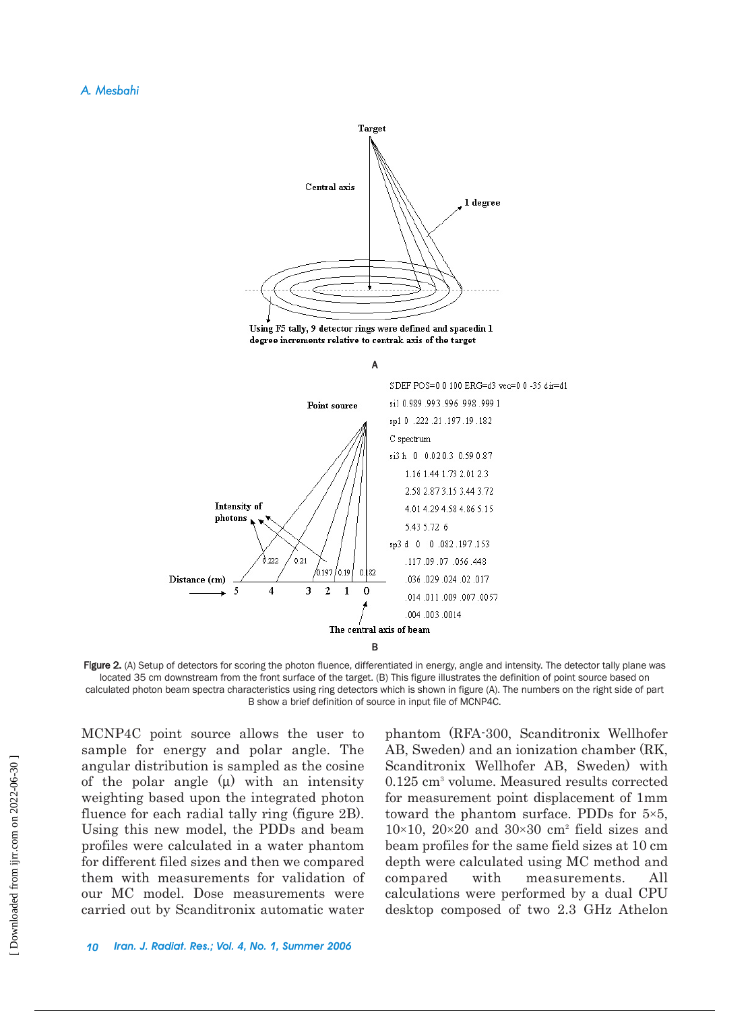

degree increments relative to centrak axis of the target





Figure 2. (A) Setup of detectors for scoring the photon fluence, differentiated in energy, angle and intensity. The detector tally plane was located 35 cm downstream from the front surface of the target. (B) This figure illustrates the definition of point source based on calculated photon beam spectra characteristics using ring detectors which is shown in figure (A). The numbers on the right side of part B show a brief definition of source in input file of MCNP4C.

MCNP4C point source allows the user to sample for energy and polar angle. The angular distribution is sampled as the cosine of the polar angle  $(\mu)$  with an intensity weighting based upon the integrated photon fluence for each radial tally ring (figure 2B). Using this new model, the PDDs and beam profiles were calculated in a water phantom for different filed sizes and then we compared them with measurements for validation of our MC model. Dose measurements were carried out by Scanditronix automatic water

phantom (RFA-300, Scanditronix Wellhofer AB, Sweden) and an ionization chamber (RK, Scanditronix Wellhofer AB, Sweden) with 0.125 cm3 volume. Measured results corrected for measurement point displacement of 1mm toward the phantom surface. PDDs for  $5\times5$ ,  $10\times10$ ,  $20\times20$  and  $30\times30$  cm<sup>2</sup> field sizes and beam profiles for the same field sizes at 10 cm depth were calculated using MC method and compared with measurements. All calculations were performed by a dual CPU desktop composed of two 2.3 GHz Athelon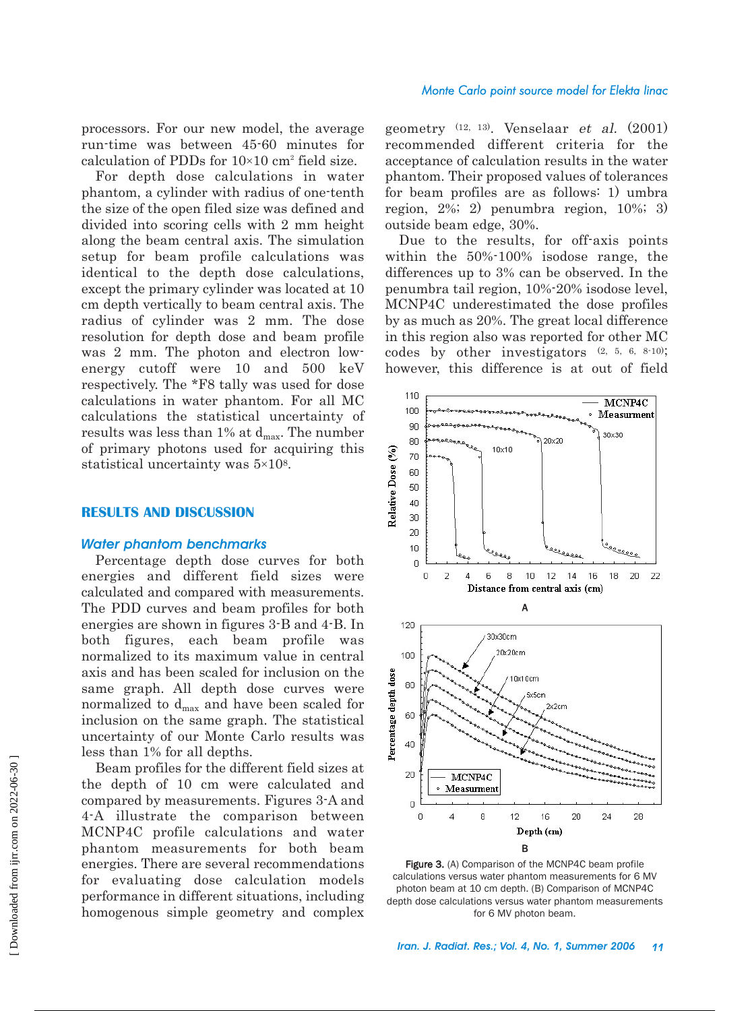processors. For our new model, the average run-time was between 45-60 minutes for calculation of PDDs for  $10\times10$  cm<sup>2</sup> field size.

For depth dose calculations in water phantom, a cylinder with radius of one-tenth the size of the open filed size was defined and divided into scoring cells with 2 mm height along the beam central axis. The simulation setup for beam profile calculations was identical to the depth dose calculations, except the primary cylinder was located at 10 cm depth vertically to beam central axis. The radius of cylinder was 2 mm. The dose resolution for depth dose and beam profile was 2 mm. The photon and electron lowenergy cutoff were 10 and 500 keV respectively. The \*F8 tally was used for dose calculations in water phantom. For all MC calculations the statistical uncertainty of results was less than 1% at  $d_{\text{max}}$ . The number of primary photons used for acquiring this statistical uncertainty was  $5\times10^8$ .

## **RESULTS AND DISCUSSION**

#### *Water phantom benchmarks*

Percentage depth dose curves for both energies and different field sizes were calculated and compared with measurements. The PDD curves and beam profiles for both energies are shown in figures 3-B and 4-B. In both figures, each beam profile was normalized to its maximum value in central axis and has been scaled for inclusion on the same graph. All depth dose curves were normalized to  $d_{\text{max}}$  and have been scaled for inclusion on the same graph. The statistical uncertainty of our Monte Carlo results was less than 1% for all depths.

Beam profiles for the different field sizes at the depth of 10 cm were calculated and compared by measurements. Figures 3-A and 4-A illustrate the comparison between MCNP4C profile calculations and water phantom measurements for both beam energies. There are several recommendations for evaluating dose calculation models performance in different situations, including homogenous simple geometry and complex

geometry (12, 13). Venselaar et al. (2001) recommended different criteria for the acceptance of calculation results in the water phantom. Their proposed values of tolerances for beam profiles are as follows: 1) umbra region, 2%; 2) penumbra region, 10%; 3) outside beam edge, 30%.

Due to the results, for off-axis points within the 50%-100% isodose range, the differences up to 3% can be observed. In the penumbra tail region, 10%-20% isodose level, MCNP4C underestimated the dose profiles by as much as 20%. The great local difference in this region also was reported for other MC codes by other investigators (2, 5, 6, 8-10); however, this difference is at out of field



Figure 3. (A) Comparison of the MCNP4C beam profile calculations versus water phantom measurements for 6 MV photon beam at 10 cm depth. (B) Comparison of MCNP4C depth dose calculations versus water phantom measurements for 6 MV photon beam.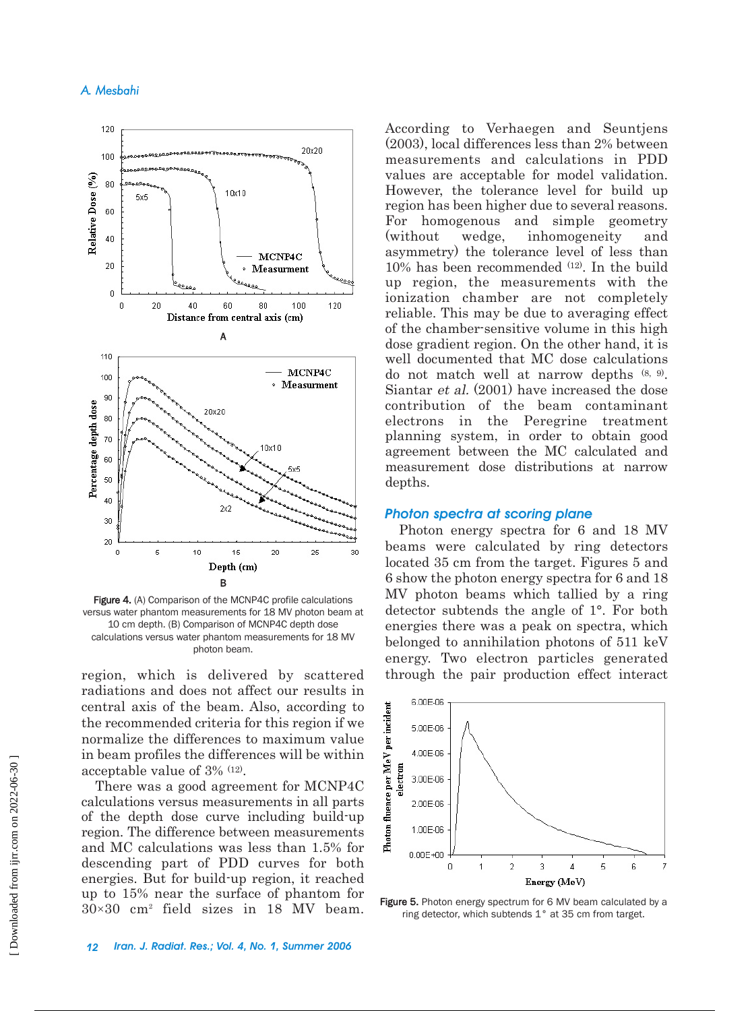# *A. Mesbahi*



Figure 4. (A) Comparison of the MCNP4C profile calculations versus water phantom measurements for 18 MV photon beam at 10 cm depth. (B) Comparison of MCNP4C depth dose calculations versus water phantom measurements for 18 MV photon beam.

region, which is delivered by scattered radiations and does not affect our results in central axis of the beam. Also, according to the recommended criteria for this region if we normalize the differences to maximum value in beam profiles the differences will be within acceptable value of 3% (12).

There was a good agreement for MCNP4C calculations versus measurements in all parts of the depth dose curve including build-up region. The difference between measurements and MC calculations was less than 1.5% for descending part of PDD curves for both energies. But for build-up region, it reached up to 15% near the surface of phantom for  $30\times30$  cm<sup>2</sup> field sizes in 18 MV beam.

According to Verhaegen and Seuntjens (2003), local differences less than 2% between measurements and calculations in PDD values are acceptable for model validation. However, the tolerance level for build up region has been higher due to several reasons. For homogenous and simple geometry (without wedge, inhomogeneity and asymmetry) the tolerance level of less than 10% has been recommended (12). In the build up region, the measurements with the ionization chamber are not completely reliable. This may be due to averaging effect of the chamber-sensitive volume in this high dose gradient region. On the other hand, it is well documented that MC dose calculations do not match well at narrow depths (8, 9). Siantar et al. (2001) have increased the dose contribution of the beam contaminant electrons in the Peregrine treatment planning system, in order to obtain good agreement between the MC calculated and measurement dose distributions at narrow depths.

#### *Photon spectra at scoring plane*

Photon energy spectra for 6 and 18 MV beams were calculated by ring detectors located 35 cm from the target. Figures 5 and 6 show the photon energy spectra for 6 and 18 MV photon beams which tallied by a ring detector subtends the angle of 1°. For both energies there was a peak on spectra, which belonged to annihilation photons of 511 keV energy. Two electron particles generated through the pair production effect interact



Figure 5. Photon energy spectrum for 6 MV beam calculated by a ring detector, which subtends 1° at 35 cm from target.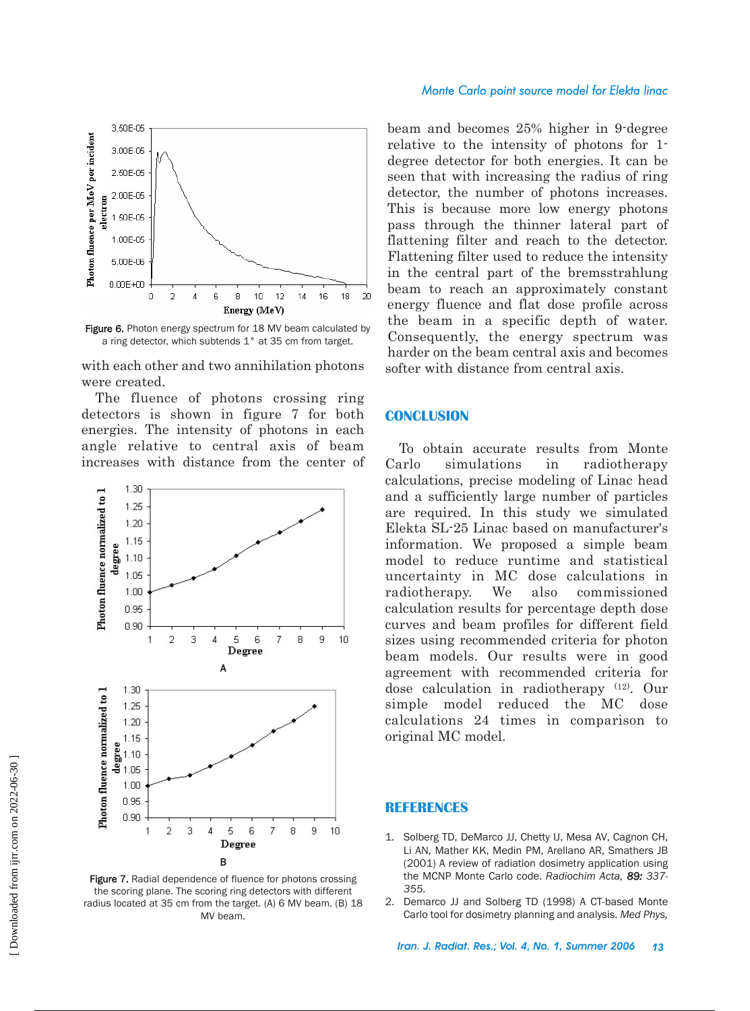

Figure 6. Photon energy spectrum for 18 MV beam calculated by a ring detector, which subtends 1° at 35 cm from target.

with each other and two annihilation photons were created.

The fluence of photons crossing ring detectors is shown in figure 7 for both energies. The intensity of photons in each angle relative to central axis of beam increases with distance from the center of



Figure 7. Radial dependence of fluence for photons crossing the scoring plane. The scoring ring detectors with different radius located at 35 cm from the target. (A) 6 MV beam. (B) 18 MV beam.

#### *Monte Carlo point source model for Elekta linac*

beam and becomes 25% higher in 9-degree relative to the intensity of photons for 1 degree detector for both energies. It can be seen that with increasing the radius of ring detector, the number of photons increases. This is because more low energy photons pass through the thinner lateral part of flattening filter and reach to the detector. Flattening filter used to reduce the intensity in the central part of the bremsstrahlung beam to reach an approximately constant energy fluence and flat dose profile across the beam in a specific depth of water. Consequently, the energy spectrum was harder on the beam central axis and becomes softer with distance from central axis.

#### **CONCLUSION**

To obtain accurate results from Monte Carlo simulations in radiotherapy calculations, precise modeling of Linac head and a sufficiently large number of particles are required. In this study we simulated Elekta SL-25 Linac based on manufacturer's information. We proposed a simple beam model to reduce runtime and statistical uncertainty in MC dose calculations in radiotherapy. We also commissioned calculation results for percentage depth dose curves and beam profiles for different field sizes using recommended criteria for photon beam models. Our results were in good agreement with recommended criteria for dose calculation in radiotherapy (12). Our simple model reduced the MC dose calculations 24 times in comparison to original MC model.

#### **REFERENCES**

- 1. Solberg TD, DeMarco JJ, Chetty IJ, Mesa AV, Cagnon CH, Li AN, Mather KK, Medin PM, Arellano AR, Smathers JB (2001) A review of radiation dosimetry application using the MCNP Monte Carlo code. *Radiochim Acta, 89: 337- 355.*
- 2. Demarco JJ and Solberg TD (1998) A CT-based Monte Carlo tool for dosimetry planning and analysis. *Med Phys,*